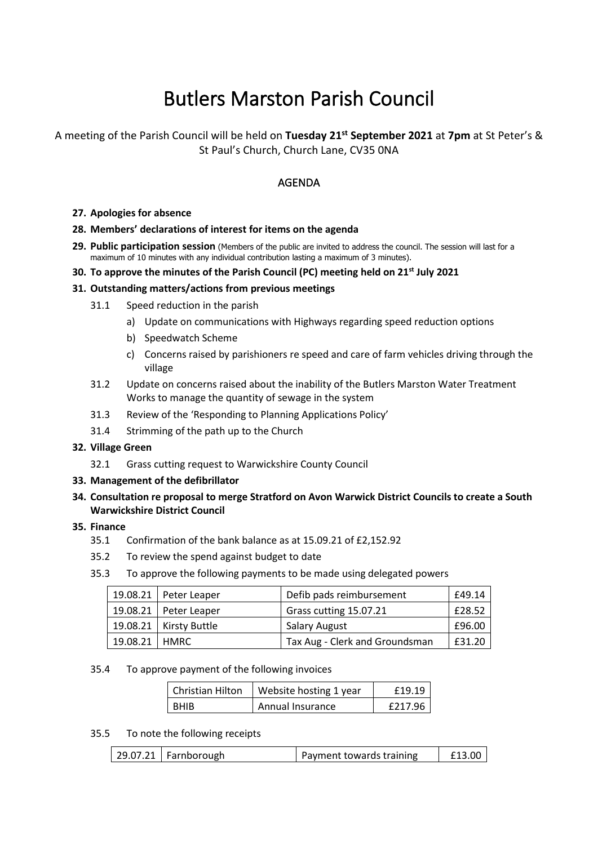# Butlers Marston Parish Council

## A meeting of the Parish Council will be held on **Tuesday 21st September 2021** at **7pm** at St Peter's & St Paul's Church, Church Lane, CV35 0NA

## AGENDA

#### **27. Apologies for absence**

#### **28. Members' declarations of interest for items on the agenda**

**29. Public participation session** (Members of the public are invited to address the council. The session will last for a maximum of 10 minutes with any individual contribution lasting a maximum of 3 minutes).

### **30. To approve the minutes of the Parish Council (PC) meeting held on 21st July 2021**

#### **31. Outstanding matters/actions from previous meetings**

- 31.1 Speed reduction in the parish
	- a) Update on communications with Highways regarding speed reduction options
	- b) Speedwatch Scheme
	- c) Concerns raised by parishioners re speed and care of farm vehicles driving through the village
- 31.2 Update on concerns raised about the inability of the Butlers Marston Water Treatment Works to manage the quantity of sewage in the system
- 31.3 Review of the 'Responding to Planning Applications Policy'
- 31.4 Strimming of the path up to the Church

#### **32. Village Green**

32.1 Grass cutting request to Warwickshire County Council

#### **33. Management of the defibrillator**

**34. Consultation re proposal to merge Stratford on Avon Warwick District Councils to create a South Warwickshire District Council**

#### **35. Finance**

- 35.1 Confirmation of the bank balance as at 15.09.21 of £2,152.92
- 35.2 To review the spend against budget to date
- 35.3 To approve the following payments to be made using delegated powers

|                 | $19.08.21$   Peter Leaper | Defib pads reimbursement       | £49.14 |
|-----------------|---------------------------|--------------------------------|--------|
|                 | $19.08.21$ Peter Leaper   | Grass cutting 15.07.21         | £28.52 |
|                 | 19.08.21   Kirsty Buttle  | <b>Salary August</b>           | £96.00 |
| 19.08.21   HMRC |                           | Tax Aug - Clerk and Groundsman | £31.20 |

#### 35.4 To approve payment of the following invoices

| l Christian Hilton | Website hosting 1 year | £19.19  |
|--------------------|------------------------|---------|
| l BHIB             | Annual Insurance       | £217.96 |

35.5 To note the following receipts

|  |  | $\vert$ 29.07.21   Farnborough | Payment towards training | £13.00 |
|--|--|--------------------------------|--------------------------|--------|
|--|--|--------------------------------|--------------------------|--------|